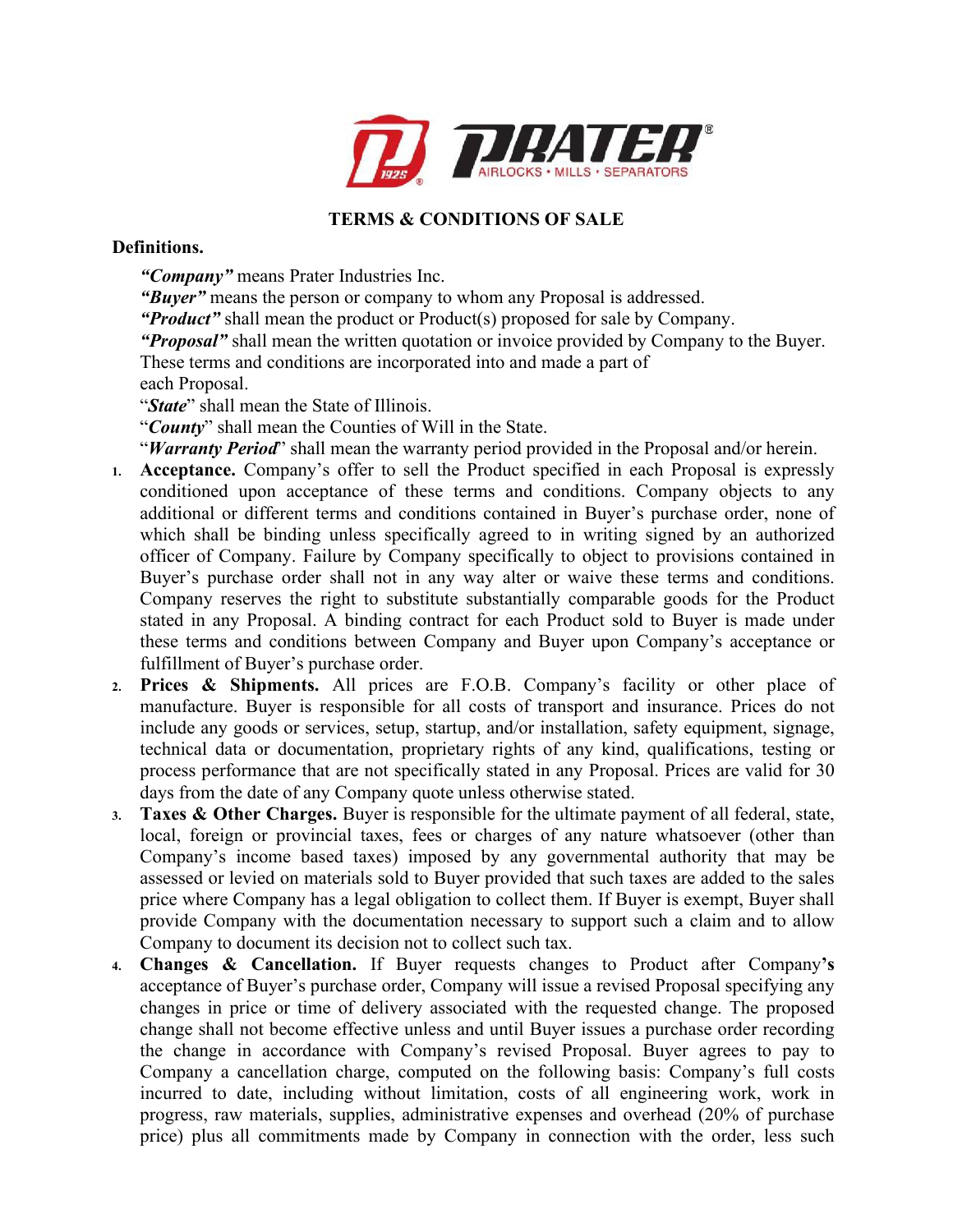

## **TERMS & CONDITIONS OF SALE**

## **Definitions.**

*"Company"* means Prater Industries Inc.

*"Buyer"* means the person or company to whom any Proposal is addressed.

*"Product"* shall mean the product or Product(s) proposed for sale by Company.

*"Proposal"* shall mean the written quotation or invoice provided by Company to the Buyer.

- These terms and conditions are incorporated into and made a part of each Proposal.
- "*State*" shall mean the State of Illinois.

"*County*" shall mean the Counties of Will in the State.

"*Warranty Period*" shall mean the warranty period provided in the Proposal and/or herein.

- **1. Acceptance.** Company's offer to sell the Product specified in each Proposal is expressly conditioned upon acceptance of these terms and conditions. Company objects to any additional or different terms and conditions contained in Buyer's purchase order, none of which shall be binding unless specifically agreed to in writing signed by an authorized officer of Company. Failure by Company specifically to object to provisions contained in Buyer's purchase order shall not in any way alter or waive these terms and conditions. Company reserves the right to substitute substantially comparable goods for the Product stated in any Proposal. A binding contract for each Product sold to Buyer is made under these terms and conditions between Company and Buyer upon Company's acceptance or fulfillment of Buyer's purchase order.
- **2. Prices & Shipments.** All prices are F.O.B. Company's facility or other place of manufacture. Buyer is responsible for all costs of transport and insurance. Prices do not include any goods or services, setup, startup, and/or installation, safety equipment, signage, technical data or documentation, proprietary rights of any kind, qualifications, testing or process performance that are not specifically stated in any Proposal. Prices are valid for 30 days from the date of any Company quote unless otherwise stated.
- **3. Taxes & Other Charges.** Buyer is responsible for the ultimate payment of all federal, state, local, foreign or provincial taxes, fees or charges of any nature whatsoever (other than Company's income based taxes) imposed by any governmental authority that may be assessed or levied on materials sold to Buyer provided that such taxes are added to the sales price where Company has a legal obligation to collect them. If Buyer is exempt, Buyer shall provide Company with the documentation necessary to support such a claim and to allow Company to document its decision not to collect such tax.
- **4. Changes & Cancellation.** If Buyer requests changes to Product after Company**'s**  acceptance of Buyer's purchase order, Company will issue a revised Proposal specifying any changes in price or time of delivery associated with the requested change. The proposed change shall not become effective unless and until Buyer issues a purchase order recording the change in accordance with Company's revised Proposal. Buyer agrees to pay to Company a cancellation charge, computed on the following basis: Company's full costs incurred to date, including without limitation, costs of all engineering work, work in progress, raw materials, supplies, administrative expenses and overhead (20% of purchase price) plus all commitments made by Company in connection with the order, less such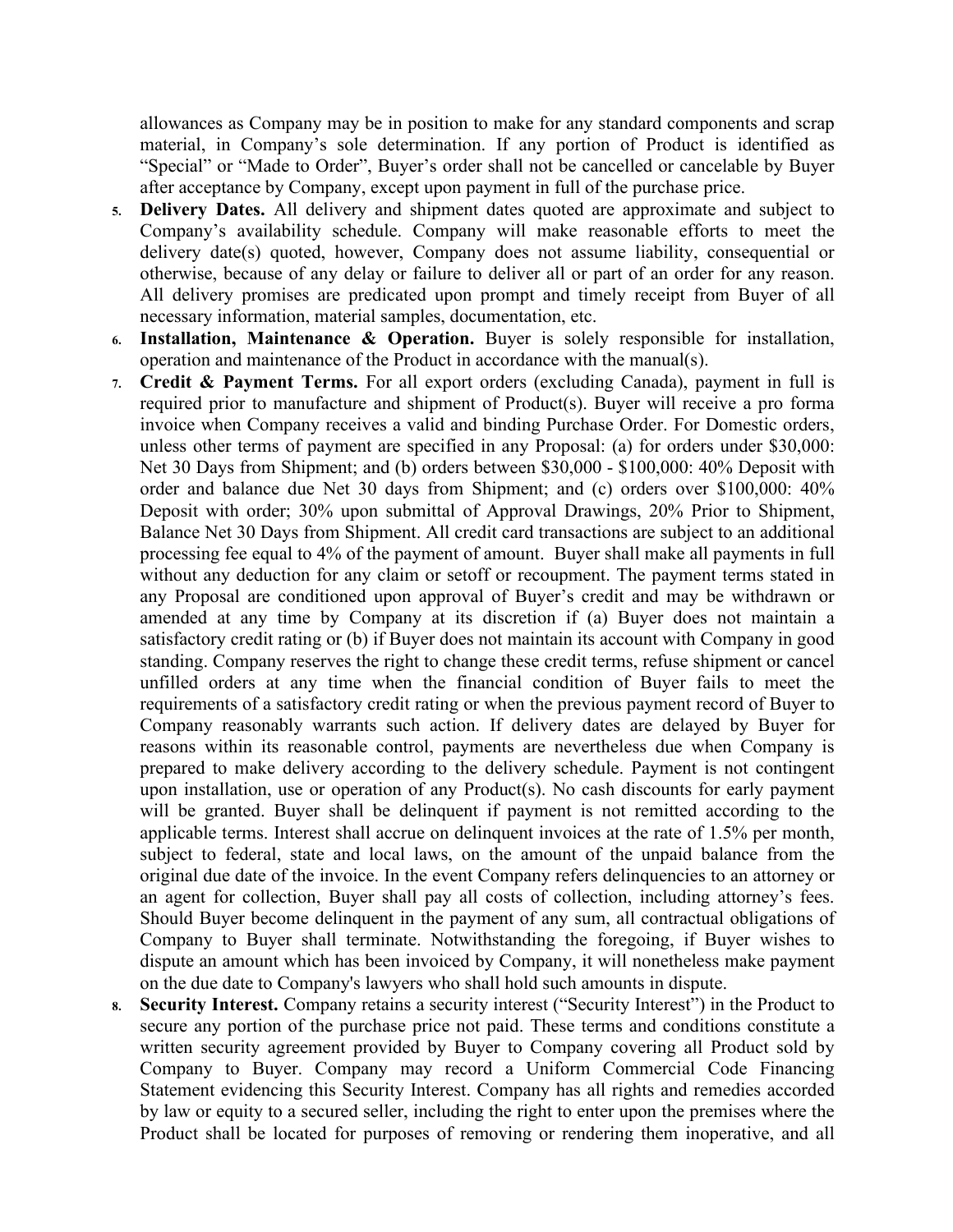allowances as Company may be in position to make for any standard components and scrap material, in Company's sole determination. If any portion of Product is identified as "Special" or "Made to Order", Buyer's order shall not be cancelled or cancelable by Buyer after acceptance by Company, except upon payment in full of the purchase price.

- **5. Delivery Dates.** All delivery and shipment dates quoted are approximate and subject to Company's availability schedule. Company will make reasonable efforts to meet the delivery date(s) quoted, however, Company does not assume liability, consequential or otherwise, because of any delay or failure to deliver all or part of an order for any reason. All delivery promises are predicated upon prompt and timely receipt from Buyer of all necessary information, material samples, documentation, etc.
- **6. Installation, Maintenance & Operation.** Buyer is solely responsible for installation, operation and maintenance of the Product in accordance with the manual(s).
- **7. Credit & Payment Terms.** For all export orders (excluding Canada), payment in full is required prior to manufacture and shipment of Product(s). Buyer will receive a pro forma invoice when Company receives a valid and binding Purchase Order. For Domestic orders, unless other terms of payment are specified in any Proposal: (a) for orders under \$30,000: Net 30 Days from Shipment; and (b) orders between \$30,000 - \$100,000: 40% Deposit with order and balance due Net 30 days from Shipment; and (c) orders over \$100,000: 40% Deposit with order; 30% upon submittal of Approval Drawings, 20% Prior to Shipment, Balance Net 30 Days from Shipment. All credit card transactions are subject to an additional processing fee equal to 4% of the payment of amount. Buyer shall make all payments in full without any deduction for any claim or setoff or recoupment. The payment terms stated in any Proposal are conditioned upon approval of Buyer's credit and may be withdrawn or amended at any time by Company at its discretion if (a) Buyer does not maintain a satisfactory credit rating or (b) if Buyer does not maintain its account with Company in good standing. Company reserves the right to change these credit terms, refuse shipment or cancel unfilled orders at any time when the financial condition of Buyer fails to meet the requirements of a satisfactory credit rating or when the previous payment record of Buyer to Company reasonably warrants such action. If delivery dates are delayed by Buyer for reasons within its reasonable control, payments are nevertheless due when Company is prepared to make delivery according to the delivery schedule. Payment is not contingent upon installation, use or operation of any Product(s). No cash discounts for early payment will be granted. Buyer shall be delinquent if payment is not remitted according to the applicable terms. Interest shall accrue on delinquent invoices at the rate of 1.5% per month, subject to federal, state and local laws, on the amount of the unpaid balance from the original due date of the invoice. In the event Company refers delinquencies to an attorney or an agent for collection, Buyer shall pay all costs of collection, including attorney's fees. Should Buyer become delinquent in the payment of any sum, all contractual obligations of Company to Buyer shall terminate. Notwithstanding the foregoing, if Buyer wishes to dispute an amount which has been invoiced by Company, it will nonetheless make payment on the due date to Company's lawyers who shall hold such amounts in dispute.
- **8. Security Interest.** Company retains a security interest ("Security Interest") in the Product to secure any portion of the purchase price not paid. These terms and conditions constitute a written security agreement provided by Buyer to Company covering all Product sold by Company to Buyer. Company may record a Uniform Commercial Code Financing Statement evidencing this Security Interest. Company has all rights and remedies accorded by law or equity to a secured seller, including the right to enter upon the premises where the Product shall be located for purposes of removing or rendering them inoperative, and all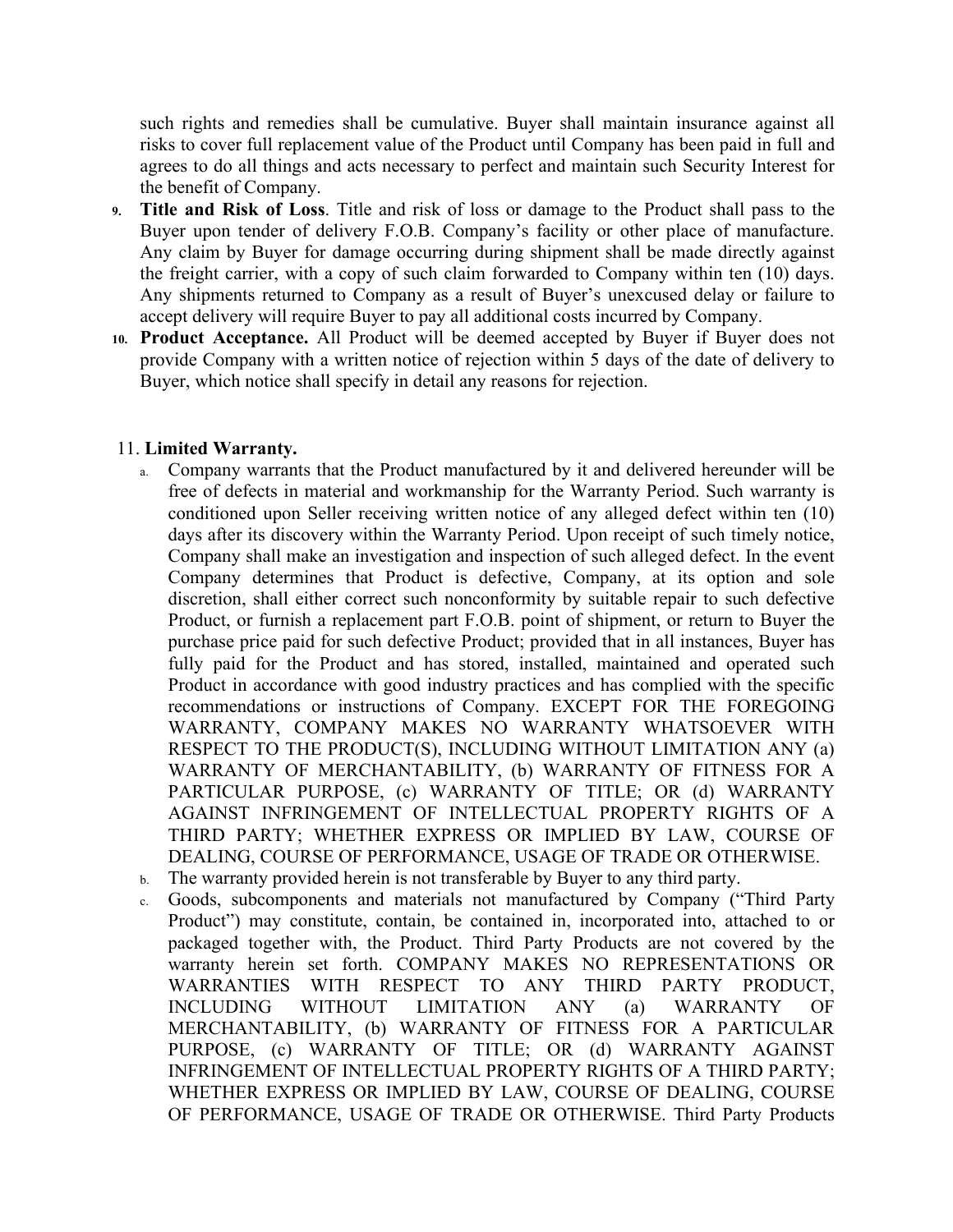such rights and remedies shall be cumulative. Buyer shall maintain insurance against all risks to cover full replacement value of the Product until Company has been paid in full and agrees to do all things and acts necessary to perfect and maintain such Security Interest for the benefit of Company.

- **9. Title and Risk of Loss**. Title and risk of loss or damage to the Product shall pass to the Buyer upon tender of delivery F.O.B. Company's facility or other place of manufacture. Any claim by Buyer for damage occurring during shipment shall be made directly against the freight carrier, with a copy of such claim forwarded to Company within ten (10) days. Any shipments returned to Company as a result of Buyer's unexcused delay or failure to accept delivery will require Buyer to pay all additional costs incurred by Company.
- **10. Product Acceptance.** All Product will be deemed accepted by Buyer if Buyer does not provide Company with a written notice of rejection within 5 days of the date of delivery to Buyer, which notice shall specify in detail any reasons for rejection.

## 11. **Limited Warranty.**

- a. Company warrants that the Product manufactured by it and delivered hereunder will be free of defects in material and workmanship for the Warranty Period. Such warranty is conditioned upon Seller receiving written notice of any alleged defect within ten (10) days after its discovery within the Warranty Period. Upon receipt of such timely notice, Company shall make an investigation and inspection of such alleged defect. In the event Company determines that Product is defective, Company, at its option and sole discretion, shall either correct such nonconformity by suitable repair to such defective Product, or furnish a replacement part F.O.B. point of shipment, or return to Buyer the purchase price paid for such defective Product; provided that in all instances, Buyer has fully paid for the Product and has stored, installed, maintained and operated such Product in accordance with good industry practices and has complied with the specific recommendations or instructions of Company. EXCEPT FOR THE FOREGOING WARRANTY, COMPANY MAKES NO WARRANTY WHATSOEVER WITH RESPECT TO THE PRODUCT(S), INCLUDING WITHOUT LIMITATION ANY (a) WARRANTY OF MERCHANTABILITY, (b) WARRANTY OF FITNESS FOR A PARTICULAR PURPOSE, (c) WARRANTY OF TITLE; OR (d) WARRANTY AGAINST INFRINGEMENT OF INTELLECTUAL PROPERTY RIGHTS OF A THIRD PARTY; WHETHER EXPRESS OR IMPLIED BY LAW, COURSE OF DEALING, COURSE OF PERFORMANCE, USAGE OF TRADE OR OTHERWISE.
- b. The warranty provided herein is not transferable by Buyer to any third party.
- c. Goods, subcomponents and materials not manufactured by Company ("Third Party Product") may constitute, contain, be contained in, incorporated into, attached to or packaged together with, the Product. Third Party Products are not covered by the warranty herein set forth. COMPANY MAKES NO REPRESENTATIONS OR WARRANTIES WITH RESPECT TO ANY THIRD PARTY PRODUCT, INCLUDING WITHOUT LIMITATION ANY (a) WARRANTY OF MERCHANTABILITY, (b) WARRANTY OF FITNESS FOR A PARTICULAR PURPOSE, (c) WARRANTY OF TITLE; OR (d) WARRANTY AGAINST INFRINGEMENT OF INTELLECTUAL PROPERTY RIGHTS OF A THIRD PARTY; WHETHER EXPRESS OR IMPLIED BY LAW, COURSE OF DEALING, COURSE OF PERFORMANCE, USAGE OF TRADE OR OTHERWISE. Third Party Products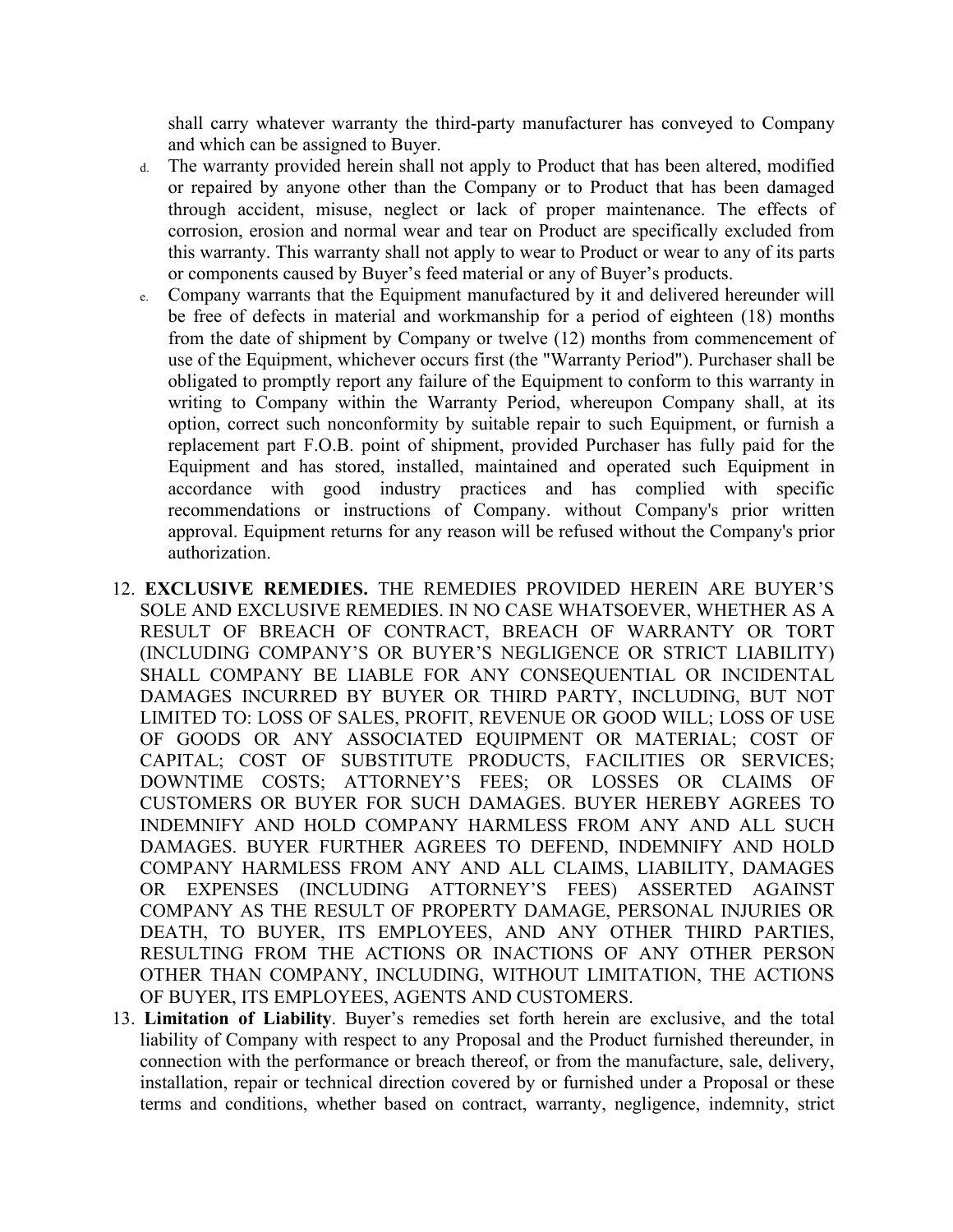shall carry whatever warranty the third-party manufacturer has conveyed to Company and which can be assigned to Buyer.

- d. The warranty provided herein shall not apply to Product that has been altered, modified or repaired by anyone other than the Company or to Product that has been damaged through accident, misuse, neglect or lack of proper maintenance. The effects of corrosion, erosion and normal wear and tear on Product are specifically excluded from this warranty. This warranty shall not apply to wear to Product or wear to any of its parts or components caused by Buyer's feed material or any of Buyer's products.
- e. Company warrants that the Equipment manufactured by it and delivered hereunder will be free of defects in material and workmanship for a period of eighteen (18) months from the date of shipment by Company or twelve (12) months from commencement of use of the Equipment, whichever occurs first (the "Warranty Period"). Purchaser shall be obligated to promptly report any failure of the Equipment to conform to this warranty in writing to Company within the Warranty Period, whereupon Company shall, at its option, correct such nonconformity by suitable repair to such Equipment, or furnish a replacement part F.O.B. point of shipment, provided Purchaser has fully paid for the Equipment and has stored, installed, maintained and operated such Equipment in accordance with good industry practices and has complied with specific recommendations or instructions of Company. without Company's prior written approval. Equipment returns for any reason will be refused without the Company's prior authorization.
- 12. **EXCLUSIVE REMEDIES.** THE REMEDIES PROVIDED HEREIN ARE BUYER'S SOLE AND EXCLUSIVE REMEDIES. IN NO CASE WHATSOEVER, WHETHER AS A RESULT OF BREACH OF CONTRACT, BREACH OF WARRANTY OR TORT (INCLUDING COMPANY'S OR BUYER'S NEGLIGENCE OR STRICT LIABILITY) SHALL COMPANY BE LIABLE FOR ANY CONSEQUENTIAL OR INCIDENTAL DAMAGES INCURRED BY BUYER OR THIRD PARTY, INCLUDING, BUT NOT LIMITED TO: LOSS OF SALES, PROFIT, REVENUE OR GOOD WILL; LOSS OF USE OF GOODS OR ANY ASSOCIATED EQUIPMENT OR MATERIAL; COST OF CAPITAL; COST OF SUBSTITUTE PRODUCTS, FACILITIES OR SERVICES; DOWNTIME COSTS; ATTORNEY'S FEES; OR LOSSES OR CLAIMS OF CUSTOMERS OR BUYER FOR SUCH DAMAGES. BUYER HEREBY AGREES TO INDEMNIFY AND HOLD COMPANY HARMLESS FROM ANY AND ALL SUCH DAMAGES. BUYER FURTHER AGREES TO DEFEND, INDEMNIFY AND HOLD COMPANY HARMLESS FROM ANY AND ALL CLAIMS, LIABILITY, DAMAGES OR EXPENSES (INCLUDING ATTORNEY'S FEES) ASSERTED AGAINST COMPANY AS THE RESULT OF PROPERTY DAMAGE, PERSONAL INJURIES OR DEATH, TO BUYER, ITS EMPLOYEES, AND ANY OTHER THIRD PARTIES, RESULTING FROM THE ACTIONS OR INACTIONS OF ANY OTHER PERSON OTHER THAN COMPANY, INCLUDING, WITHOUT LIMITATION, THE ACTIONS OF BUYER, ITS EMPLOYEES, AGENTS AND CUSTOMERS.
- 13. **Limitation of Liability**. Buyer's remedies set forth herein are exclusive, and the total liability of Company with respect to any Proposal and the Product furnished thereunder, in connection with the performance or breach thereof, or from the manufacture, sale, delivery, installation, repair or technical direction covered by or furnished under a Proposal or these terms and conditions, whether based on contract, warranty, negligence, indemnity, strict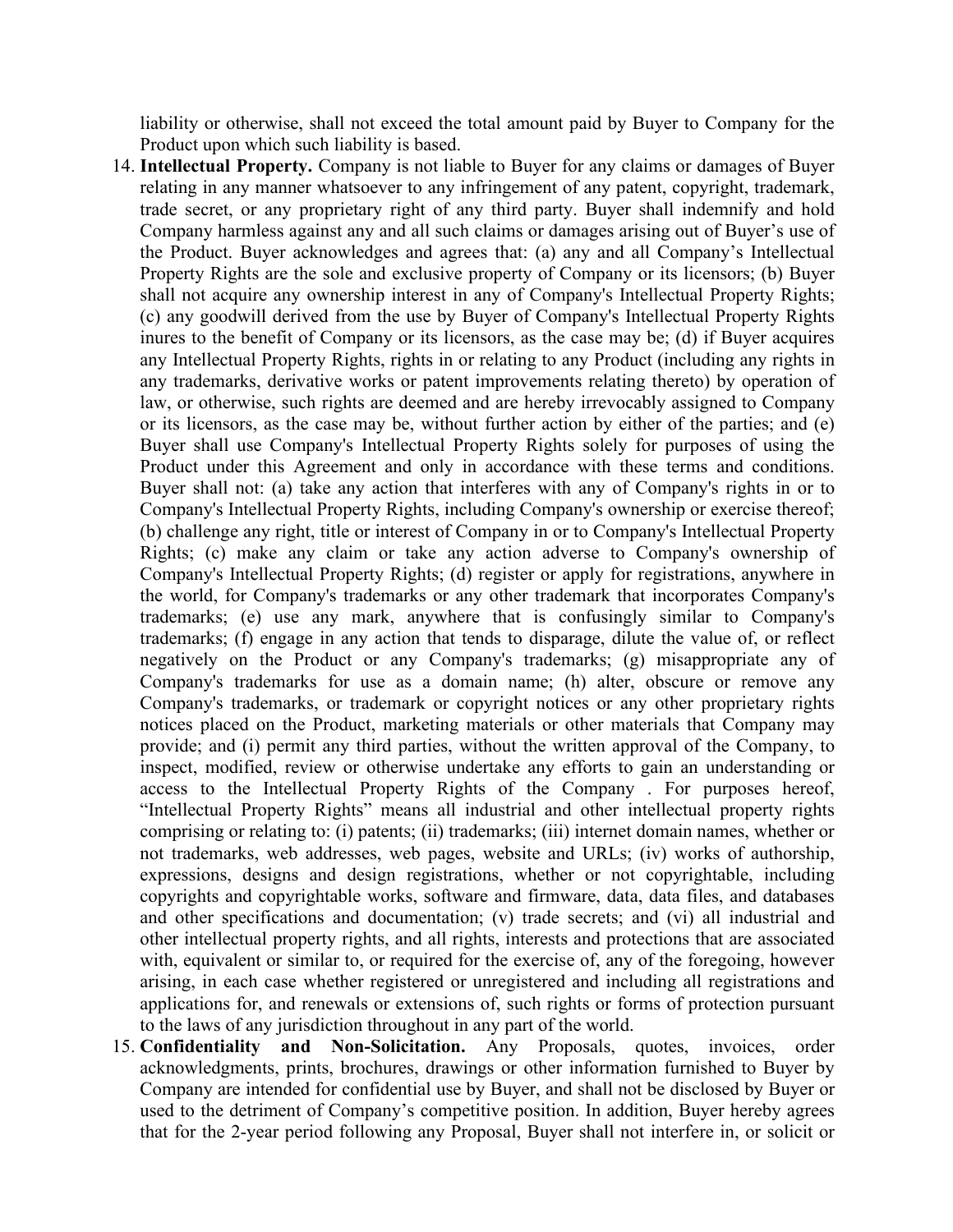liability or otherwise, shall not exceed the total amount paid by Buyer to Company for the Product upon which such liability is based.

- 14. **Intellectual Property.** Company is not liable to Buyer for any claims or damages of Buyer relating in any manner whatsoever to any infringement of any patent, copyright, trademark, trade secret, or any proprietary right of any third party. Buyer shall indemnify and hold Company harmless against any and all such claims or damages arising out of Buyer's use of the Product. Buyer acknowledges and agrees that: (a) any and all Company's Intellectual Property Rights are the sole and exclusive property of Company or its licensors; (b) Buyer shall not acquire any ownership interest in any of Company's Intellectual Property Rights; (c) any goodwill derived from the use by Buyer of Company's Intellectual Property Rights inures to the benefit of Company or its licensors, as the case may be; (d) if Buyer acquires any Intellectual Property Rights, rights in or relating to any Product (including any rights in any trademarks, derivative works or patent improvements relating thereto) by operation of law, or otherwise, such rights are deemed and are hereby irrevocably assigned to Company or its licensors, as the case may be, without further action by either of the parties; and (e) Buyer shall use Company's Intellectual Property Rights solely for purposes of using the Product under this Agreement and only in accordance with these terms and conditions. Buyer shall not: (a) take any action that interferes with any of Company's rights in or to Company's Intellectual Property Rights, including Company's ownership or exercise thereof; (b) challenge any right, title or interest of Company in or to Company's Intellectual Property Rights; (c) make any claim or take any action adverse to Company's ownership of Company's Intellectual Property Rights; (d) register or apply for registrations, anywhere in the world, for Company's trademarks or any other trademark that incorporates Company's trademarks; (e) use any mark, anywhere that is confusingly similar to Company's trademarks; (f) engage in any action that tends to disparage, dilute the value of, or reflect negatively on the Product or any Company's trademarks; (g) misappropriate any of Company's trademarks for use as a domain name; (h) alter, obscure or remove any Company's trademarks, or trademark or copyright notices or any other proprietary rights notices placed on the Product, marketing materials or other materials that Company may provide; and (i) permit any third parties, without the written approval of the Company, to inspect, modified, review or otherwise undertake any efforts to gain an understanding or access to the Intellectual Property Rights of the Company . For purposes hereof, "Intellectual Property Rights" means all industrial and other intellectual property rights comprising or relating to: (i) patents; (ii) trademarks; (iii) internet domain names, whether or not trademarks, web addresses, web pages, website and URLs; (iv) works of authorship, expressions, designs and design registrations, whether or not copyrightable, including copyrights and copyrightable works, software and firmware, data, data files, and databases and other specifications and documentation; (v) trade secrets; and (vi) all industrial and other intellectual property rights, and all rights, interests and protections that are associated with, equivalent or similar to, or required for the exercise of, any of the foregoing, however arising, in each case whether registered or unregistered and including all registrations and applications for, and renewals or extensions of, such rights or forms of protection pursuant to the laws of any jurisdiction throughout in any part of the world.
- 15. **Confidentiality and Non-Solicitation.** Any Proposals, quotes, invoices, order acknowledgments, prints, brochures, drawings or other information furnished to Buyer by Company are intended for confidential use by Buyer, and shall not be disclosed by Buyer or used to the detriment of Company's competitive position. In addition, Buyer hereby agrees that for the 2-year period following any Proposal, Buyer shall not interfere in, or solicit or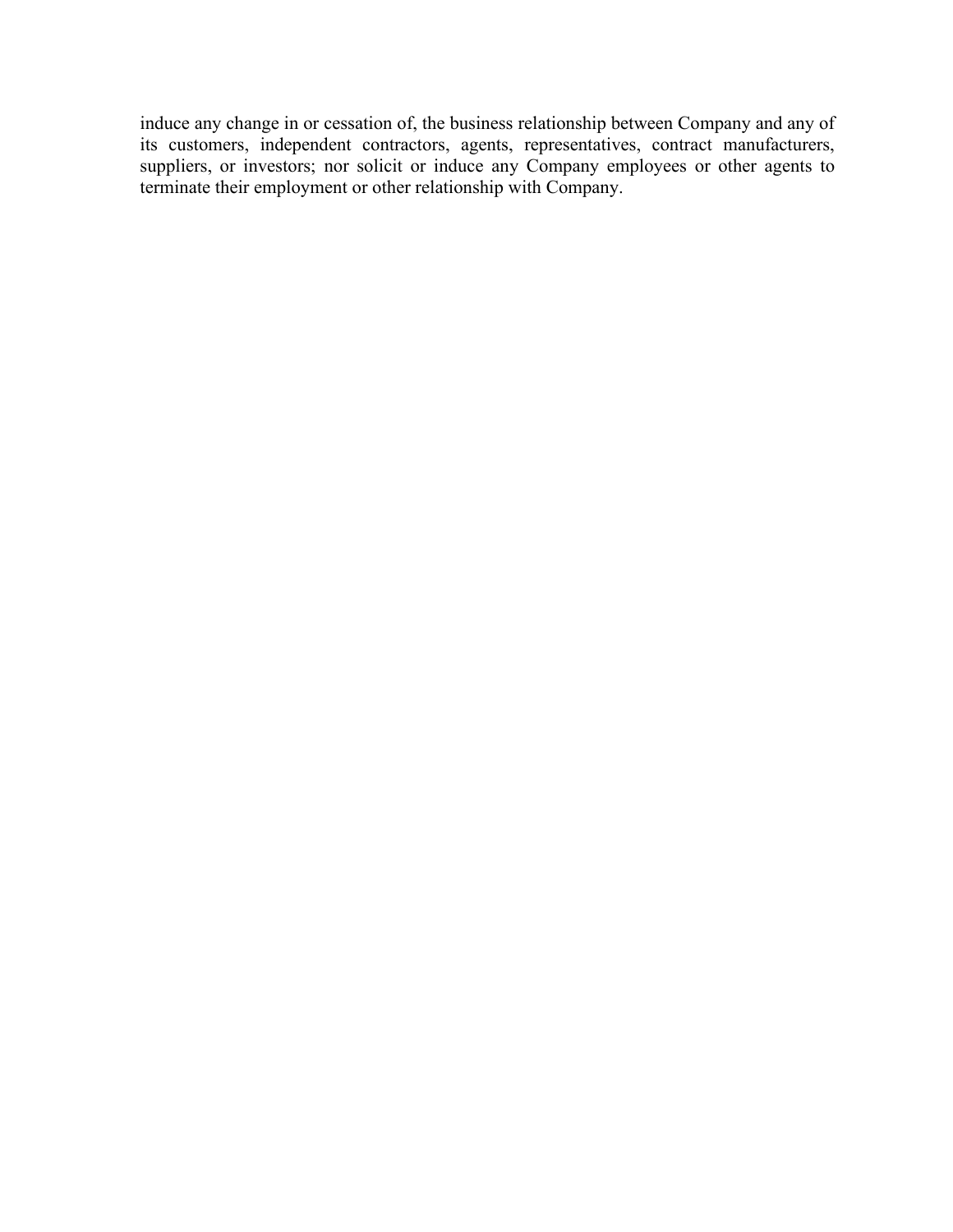induce any change in or cessation of, the business relationship between Company and any of its customers, independent contractors, agents, representatives, contract manufacturers, suppliers, or investors; nor solicit or induce any Company employees or other agents to terminate their employment or other relationship with Company.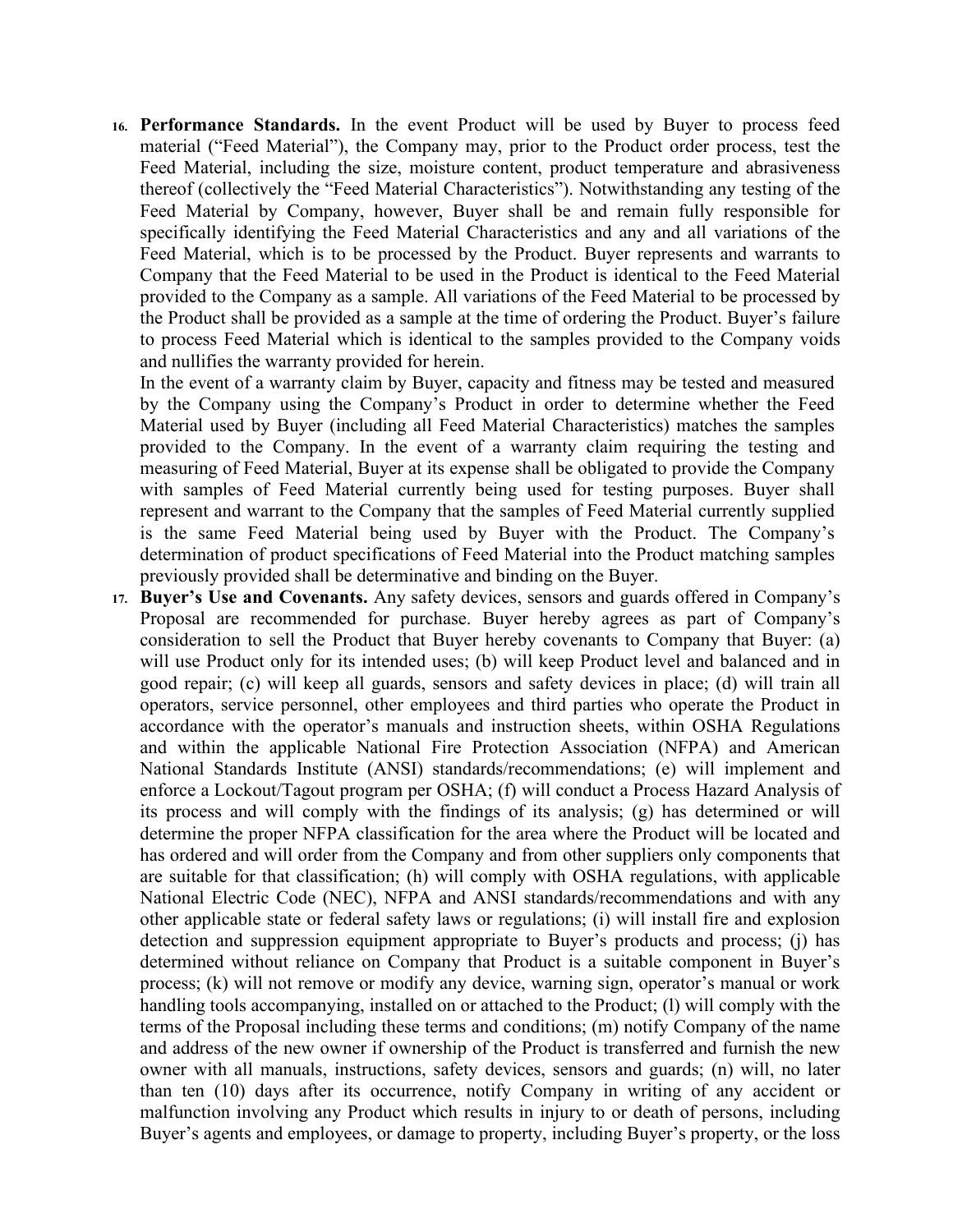**16. Performance Standards.** In the event Product will be used by Buyer to process feed material ("Feed Material"), the Company may, prior to the Product order process, test the Feed Material, including the size, moisture content, product temperature and abrasiveness thereof (collectively the "Feed Material Characteristics"). Notwithstanding any testing of the Feed Material by Company, however, Buyer shall be and remain fully responsible for specifically identifying the Feed Material Characteristics and any and all variations of the Feed Material, which is to be processed by the Product. Buyer represents and warrants to Company that the Feed Material to be used in the Product is identical to the Feed Material provided to the Company as a sample. All variations of the Feed Material to be processed by the Product shall be provided as a sample at the time of ordering the Product. Buyer's failure to process Feed Material which is identical to the samples provided to the Company voids and nullifies the warranty provided for herein.

In the event of a warranty claim by Buyer, capacity and fitness may be tested and measured by the Company using the Company's Product in order to determine whether the Feed Material used by Buyer (including all Feed Material Characteristics) matches the samples provided to the Company. In the event of a warranty claim requiring the testing and measuring of Feed Material, Buyer at its expense shall be obligated to provide the Company with samples of Feed Material currently being used for testing purposes. Buyer shall represent and warrant to the Company that the samples of Feed Material currently supplied is the same Feed Material being used by Buyer with the Product. The Company's determination of product specifications of Feed Material into the Product matching samples previously provided shall be determinative and binding on the Buyer.

**17. Buyer's Use and Covenants.** Any safety devices, sensors and guards offered in Company's Proposal are recommended for purchase. Buyer hereby agrees as part of Company's consideration to sell the Product that Buyer hereby covenants to Company that Buyer: (a) will use Product only for its intended uses; (b) will keep Product level and balanced and in good repair; (c) will keep all guards, sensors and safety devices in place; (d) will train all operators, service personnel, other employees and third parties who operate the Product in accordance with the operator's manuals and instruction sheets, within OSHA Regulations and within the applicable National Fire Protection Association (NFPA) and American National Standards Institute (ANSI) standards/recommendations; (e) will implement and enforce a Lockout/Tagout program per OSHA; (f) will conduct a Process Hazard Analysis of its process and will comply with the findings of its analysis; (g) has determined or will determine the proper NFPA classification for the area where the Product will be located and has ordered and will order from the Company and from other suppliers only components that are suitable for that classification; (h) will comply with OSHA regulations, with applicable National Electric Code (NEC), NFPA and ANSI standards/recommendations and with any other applicable state or federal safety laws or regulations; (i) will install fire and explosion detection and suppression equipment appropriate to Buyer's products and process; (j) has determined without reliance on Company that Product is a suitable component in Buyer's process; (k) will not remove or modify any device, warning sign, operator's manual or work handling tools accompanying, installed on or attached to the Product; (l) will comply with the terms of the Proposal including these terms and conditions; (m) notify Company of the name and address of the new owner if ownership of the Product is transferred and furnish the new owner with all manuals, instructions, safety devices, sensors and guards; (n) will, no later than ten (10) days after its occurrence, notify Company in writing of any accident or malfunction involving any Product which results in injury to or death of persons, including Buyer's agents and employees, or damage to property, including Buyer's property, or the loss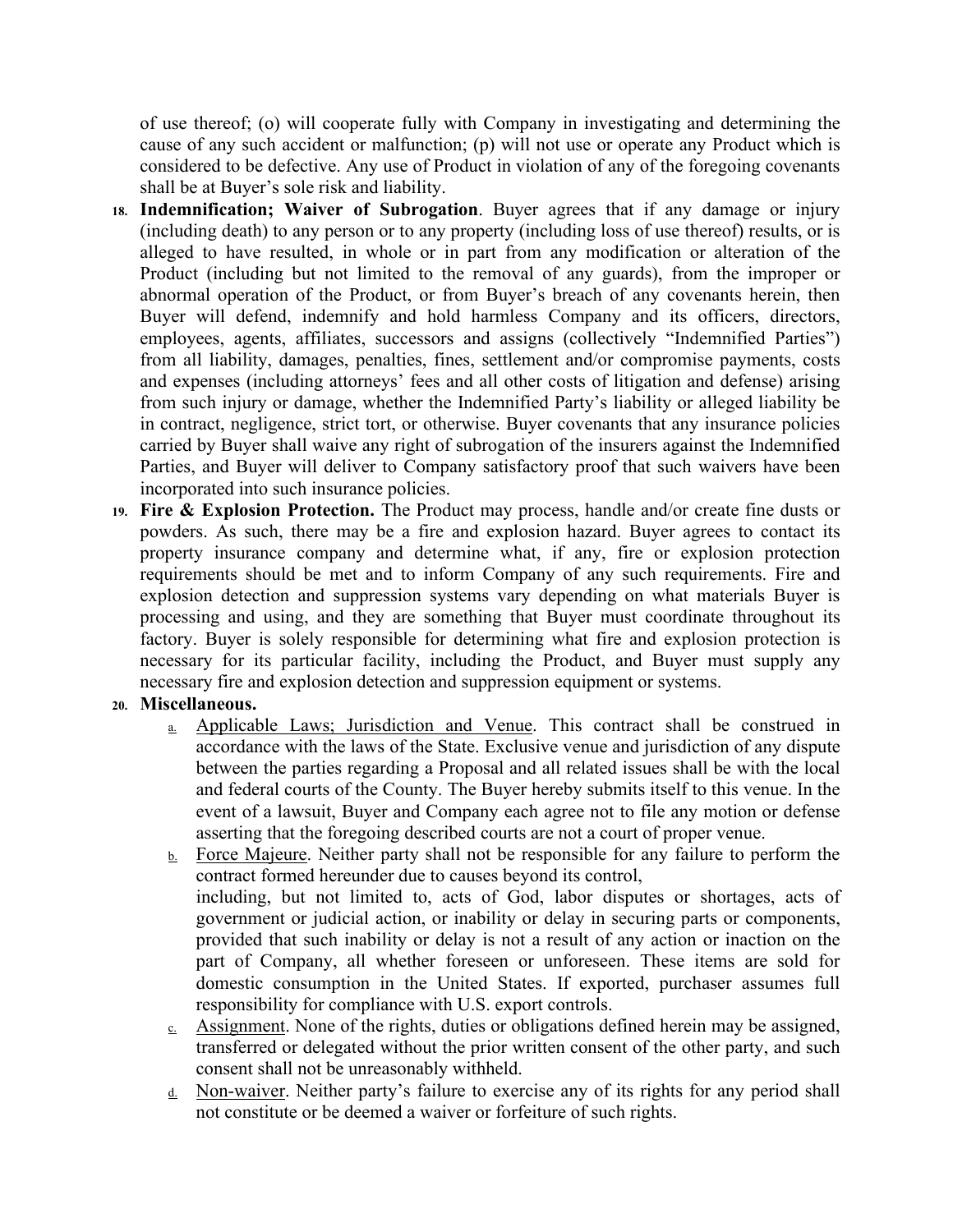of use thereof; (o) will cooperate fully with Company in investigating and determining the cause of any such accident or malfunction; (p) will not use or operate any Product which is considered to be defective. Any use of Product in violation of any of the foregoing covenants shall be at Buyer's sole risk and liability.

- **18. Indemnification; Waiver of Subrogation**. Buyer agrees that if any damage or injury (including death) to any person or to any property (including loss of use thereof) results, or is alleged to have resulted, in whole or in part from any modification or alteration of the Product (including but not limited to the removal of any guards), from the improper or abnormal operation of the Product, or from Buyer's breach of any covenants herein, then Buyer will defend, indemnify and hold harmless Company and its officers, directors, employees, agents, affiliates, successors and assigns (collectively "Indemnified Parties") from all liability, damages, penalties, fines, settlement and/or compromise payments, costs and expenses (including attorneys' fees and all other costs of litigation and defense) arising from such injury or damage, whether the Indemnified Party's liability or alleged liability be in contract, negligence, strict tort, or otherwise. Buyer covenants that any insurance policies carried by Buyer shall waive any right of subrogation of the insurers against the Indemnified Parties, and Buyer will deliver to Company satisfactory proof that such waivers have been incorporated into such insurance policies.
- **19. Fire & Explosion Protection.** The Product may process, handle and/or create fine dusts or powders. As such, there may be a fire and explosion hazard. Buyer agrees to contact its property insurance company and determine what, if any, fire or explosion protection requirements should be met and to inform Company of any such requirements. Fire and explosion detection and suppression systems vary depending on what materials Buyer is processing and using, and they are something that Buyer must coordinate throughout its factory. Buyer is solely responsible for determining what fire and explosion protection is necessary for its particular facility, including the Product, and Buyer must supply any necessary fire and explosion detection and suppression equipment or systems.

## **20. Miscellaneous.**

- a. Applicable Laws; Jurisdiction and Venue. This contract shall be construed in accordance with the laws of the State. Exclusive venue and jurisdiction of any dispute between the parties regarding a Proposal and all related issues shall be with the local and federal courts of the County. The Buyer hereby submits itself to this venue. In the event of a lawsuit, Buyer and Company each agree not to file any motion or defense asserting that the foregoing described courts are not a court of proper venue.
- $\underline{b}$ . Force Majeure. Neither party shall not be responsible for any failure to perform the contract formed hereunder due to causes beyond its control, including, but not limited to, acts of God, labor disputes or shortages, acts of government or judicial action, or inability or delay in securing parts or components, provided that such inability or delay is not a result of any action or inaction on the part of Company, all whether foreseen or unforeseen. These items are sold for domestic consumption in the United States. If exported, purchaser assumes full responsibility for compliance with U.S. export controls.
- $c.$  Assignment. None of the rights, duties or obligations defined herein may be assigned, transferred or delegated without the prior written consent of the other party, and such consent shall not be unreasonably withheld.
- d. Non-waiver. Neither party's failure to exercise any of its rights for any period shall not constitute or be deemed a waiver or forfeiture of such rights.